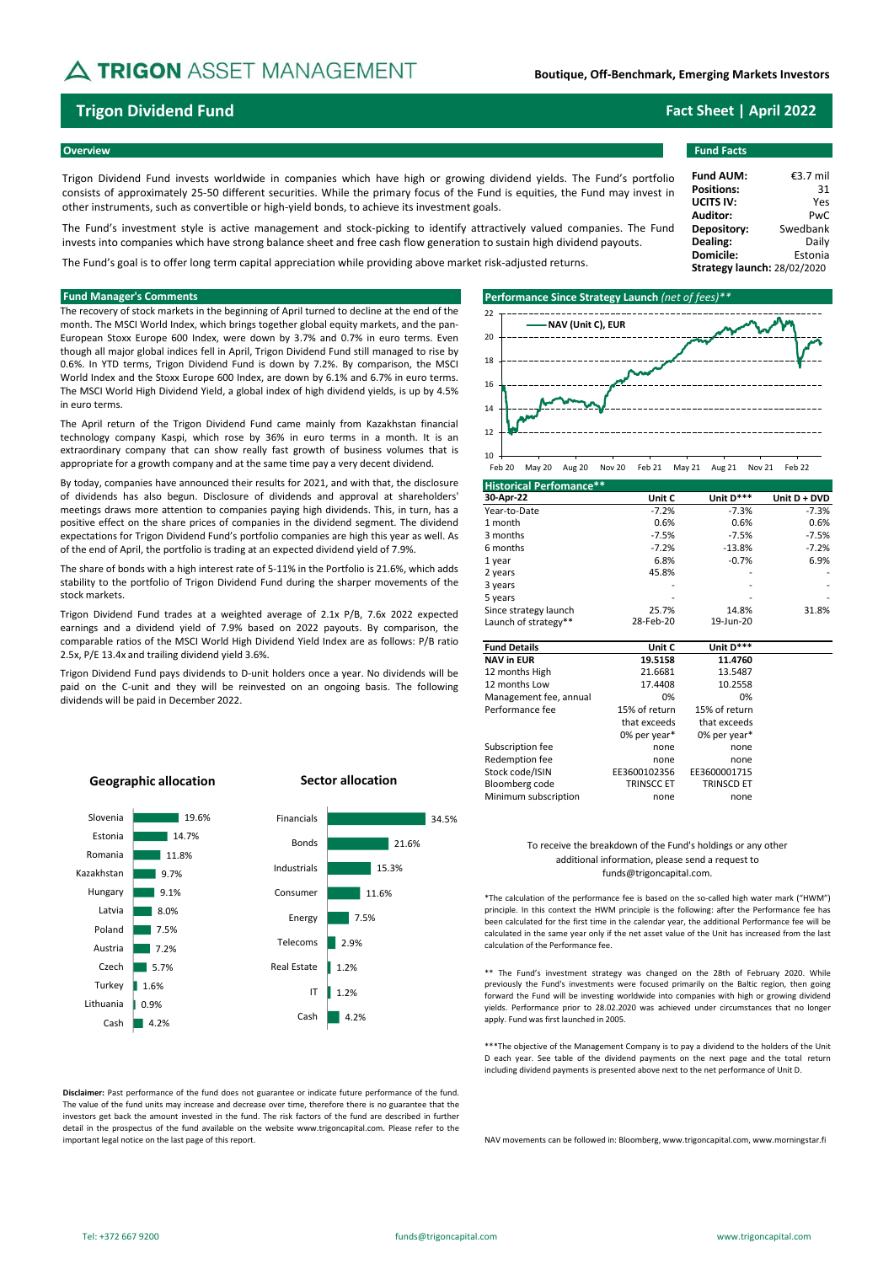# **A TRIGON** ASSET MANAGEMENT

## **Boutique, Off-Benchmark, Emerging Markets Investors**

Trigon Dividend Fund invests worldwide in companies which have high or growing dividend yields. The Fund's portfolio consists of approximately 25-50 different securities. While the primary focus of the Fund is equities, the Fund may invest in other instruments, such as convertible or high-yield bonds, to achieve its investment goals.

The Fund's investment style is active management and stock-picking to identify attractively valued companies. The Fund invests into companies which have strong balance sheet and free cash flow generation to sustain high dividend payouts.

The Fund's goal is to offer long term capital appreciation while providing above market risk-adjusted returns.

The recovery of stock markets in the beginning of April turned to decline at the end of the month. The MSCI World Index, which brings together global equity markets, and the pan-European Stoxx Europe 600 Index, were down by 3.7% and 0.7% in euro terms. Even though all major global indices fell in April, Trigon Dividend Fund still managed to rise by 0.6%. In YTD terms, Trigon Dividend Fund is down by 7.2%. By comparison, the MSCI World Index and the Stoxx Europe 600 Index, are down by 6.1% and 6.7% in euro terms. The MSCI World High Dividend Yield, a global index of high dividend yields, is up by 4.5% in euro terms.

The April return of the Trigon Dividend Fund came mainly from Kazakhstan financial technology company Kaspi, which rose by 36% in euro terms in a month. It is an extraordinary company that can show really fast growth of business volumes that is appropriate for a growth company and at the same time pay a very decent dividend.

By today, companies have announced their results for 2021, and with that, the disclosure of dividends has also begun. Disclosure of dividends and approval at shareholders' meetings draws more attention to companies paying high dividends. This, in turn, has a positive effect on the share prices of companies in the dividend segment. The dividend expectations for Trigon Dividend Fund's portfolio companies are high this year as well. As of the end of April, the portfolio is trading at an expected dividend yield of 7.9%.

The share of bonds with a high interest rate of 5-11% in the Portfolio is 21.6%, which adds stability to the portfolio of Trigon Dividend Fund during the sharper movements of the stock markets.

Trigon Dividend Fund trades at a weighted average of 2.1x P/B, 7.6x 2022 expected earnings and a dividend yield of 7.9% based on 2022 payouts. By comparison, the comparable ratios of the MSCI World High Dividend Yield Index are as follows: P/B ratio 2.5x, P/E 13.4x and trailing dividend yield 3.6%.

Trigon Dividend Fund pays dividends to D-unit holders once a year. No dividends will be paid on the C-unit and they will be reinvested on an ongoing basis. The following dividends will be paid in December 2022.



Feb 20 May 20 Aug 20 Nov 20 Feb 21 May 21 Aug 21 Nov 21 Feb 22

| <b>Historical Perfomance**</b> |           |           |              |
|--------------------------------|-----------|-----------|--------------|
| 30-Apr-22                      | Unit C    | Unit D*** | Unit D + DVD |
| Year-to-Date                   | $-7.2%$   | $-7.3%$   | $-7.3%$      |
| 1 month                        | 0.6%      | 0.6%      | 0.6%         |
| 3 months                       | $-7.5%$   | $-7.5%$   | $-7.5%$      |
| 6 months                       | $-7.2%$   | $-13.8%$  | $-7.2%$      |
| 1 year                         | 6.8%      | $-0.7%$   | 6.9%         |
| 2 years                        | 45.8%     |           |              |
| 3 years                        |           |           |              |
| 5 years                        |           |           |              |
| Since strategy launch          | 25.7%     | 14.8%     | 31.8%        |
| Launch of strategy**           | 28-Feb-20 | 19-Jun-20 |              |

| <b>Fund Details</b>    | Unit C            | Unit D***         |
|------------------------|-------------------|-------------------|
| <b>NAV in EUR</b>      | 19.5158           | 11.4760           |
| 12 months High         | 21.6681           | 13.5487           |
| 12 months Low          | 17.4408           | 10.2558           |
| Management fee, annual | 0%                | 0%                |
| Performance fee        | 15% of return     | 15% of return     |
|                        | that exceeds      | that exceeds      |
|                        | 0% per year*      | 0% per year*      |
| Subscription fee       | none              | none              |
| Redemption fee         | none              | none              |
| Stock code/ISIN        | EE3600102356      | EE3600001715      |
| Bloomberg code         | <b>TRINSCC ET</b> | <b>TRINSCD ET</b> |
| Minimum subscription   | none              | none              |

## To receive the breakdown of the Fund's holdings or any other additional information, please send a request to funds@trigoncapital.com.

\*The calculation of the performance fee is based on the so-called high water mark ("HWM") principle. In this context the HWM principle is the following: after the Performance fee has been calculated for the first time in the calendar year, the additional Performance fee will be calculated in the same year only if the net asset value of the Unit has increased from the last calculation of the Performance fee.

\*\* The Fund's investment strategy was changed on the 28th of February 2020. While previously the Fund's investments were focused primarily on the Baltic region, then going forward the Fund will be investing worldwide into companies with high or growing dividend yields. Performance prior to 28.02.2020 was achieved under circumstances that no longer apply. Fund was first launched in 2005.

\*\*\*The objective of the Management Company is to pay a dividend to the holders of the Unit D each year. See table of the dividend payments on the next page and the total return including dividend payments is presented above next to the net performance of Unit D.

NAV movements can be followed in: Bloomberg, www.trigoncapital.com, www.morningstar.fi

## **Sector allocation Geographic allocation** Slovenia 19.6% Financials 34.5% Estonia 14.7% Bonds 21.6% Romania 11.8% Industrials 15.3% Kazakhstan 9.7% Hungary 9.1% Consumer 11.6% Latvia 8.0% 7.5% Energy Poland 7.5% Telecoms 2.9% Austria 7.2% Czech  $5.7%$ Real Estate п. 1.2% Turkey 1.6% IT 1.2% Lithuania 0.9% Cash 4.2% Cash 4.2%

**Disclaimer:** Past performance of the fund does not guarantee or indicate future performance of the fund. The value of the fund units may increase and decrease over time, therefore there is no guarantee that the investors get back the amount invested in the fund. The risk factors of the fund are described in further detail in the prospectus of the fund available on the website www.trigoncapital.com. Please refer to the important legal notice on the last page of this report.

## **Trigon Dividend Fund Fact Sheet | April 2022**

## **Overview Fund Facts**

| <b>Fund AUM:</b>            | €3.7 mil |
|-----------------------------|----------|
| <b>Positions:</b>           | 31       |
| <b>UCITS IV:</b>            | Yes      |
| <b>Auditor:</b>             | PwC      |
| Depository:                 | Swedbank |
| Dealing:                    | Daily    |
| Domicile:                   | Estonia  |
| Strategy launch: 28/02/2020 |          |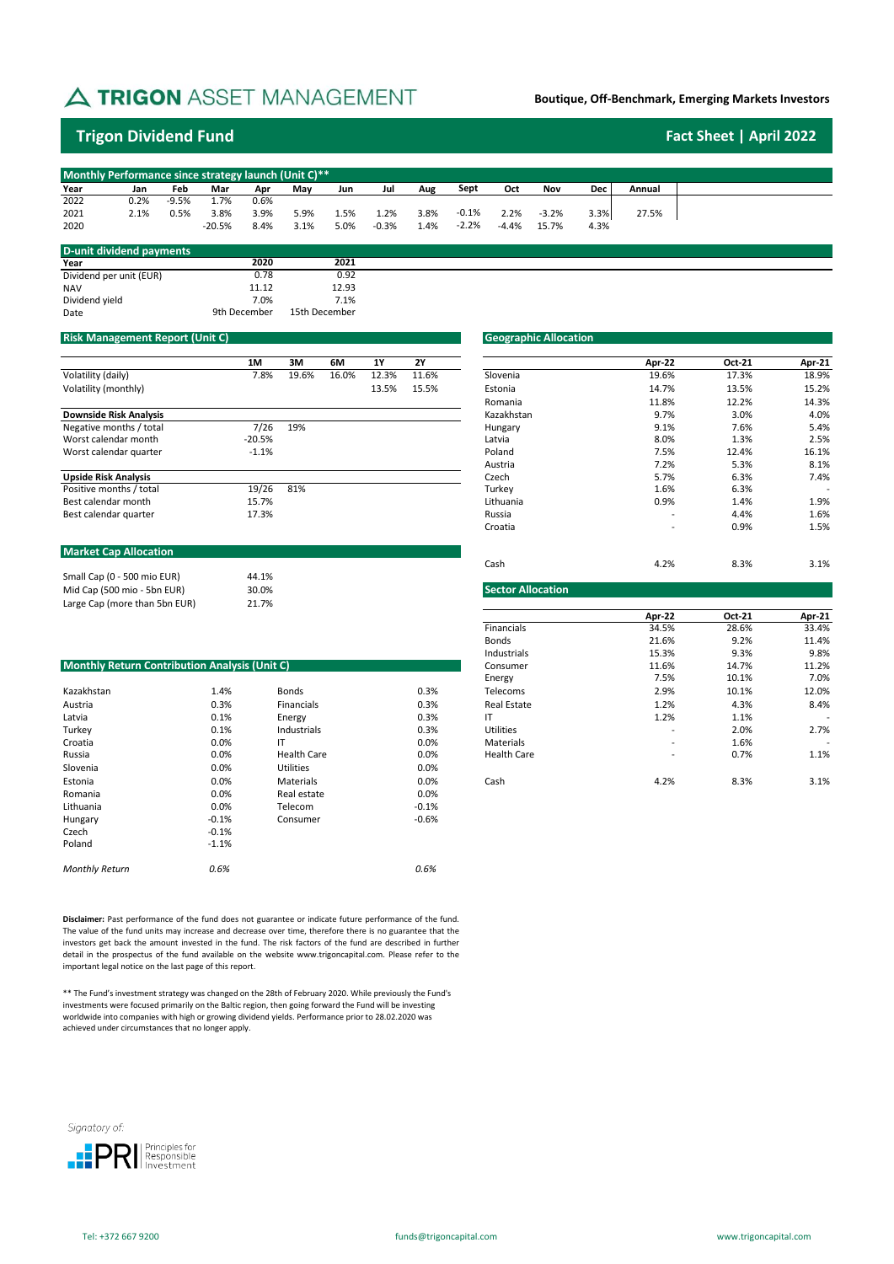# A TRIGON ASSET MANAGEMENT

## **Boutique, Off-Benchmark, Emerging Markets Investors**

# **Trigon Dividend Fund Fact Sheet | April 2022**

|      | Monthly Performance since strategy launch (Unit C)** |         |          |      |      |      |         |      |         |         |         |      |        |  |
|------|------------------------------------------------------|---------|----------|------|------|------|---------|------|---------|---------|---------|------|--------|--|
| Year | Jan                                                  | Feb     | Mar      | Apr  | Mav  | Jun  | Jul     | Aug  | Sept    | Oct     | Nov     | Dec  | Annual |  |
| 2022 | 0.2%                                                 | $-9.5%$ | .7%      | 0.6% |      |      |         |      |         |         |         |      |        |  |
| 2021 | 2.1%                                                 | 0.5%    | 3.8%     | 3.9% | 5.9% | 1.5% | 1.2%    | 3.8% | $-0.1%$ | 2.2%    | $-3.2%$ | 3.3% | 27.5%  |  |
| 2020 |                                                      |         | $-20.5%$ | 8.4% | 3.1% | 5.0% | $-0.3%$ | 1.4% | $-2.2%$ | $-4.4%$ | 15 7%   | 4.3% |        |  |

| D-unit dividend payments |              |               |
|--------------------------|--------------|---------------|
| Year                     | 2020         | 2021          |
| Dividend per unit (EUR)  | 0.78         | 0.92          |
| <b>NAV</b>               | 11 12        | 12.93         |
| Dividend yield           | 7.0%         | 7.1%          |
| Date                     | 9th December | 15th December |

## **Risk Management Report (Unit C)**

|                               | 1M       | 3M    | 6M    | <b>1Y</b> | <b>2Y</b> |            | Apr-22                   | <b>Oct-21</b> | Apr-21 |
|-------------------------------|----------|-------|-------|-----------|-----------|------------|--------------------------|---------------|--------|
| Volatility (daily)            | 7.8%     | 19.6% | 16.0% | 12.3%     | 11.6%     | Slovenia   | 19.6%                    | 17.3%         | 18.9%  |
| Volatility (monthly)          |          |       |       | 13.5%     | 15.5%     | Estonia    | 14.7%                    | 13.5%         | 15.2%  |
|                               |          |       |       |           |           | Romania    | 11.8%                    | 12.2%         | 14.3%  |
| <b>Downside Risk Analysis</b> |          |       |       |           |           | Kazakhstan | 9.7%                     | 3.0%          | 4.0%   |
| Negative months / total       | 7/26     | 19%   |       |           |           | Hungary    | 9.1%                     | 7.6%          | 5.4%   |
| Worst calendar month          | $-20.5%$ |       |       |           |           | Latvia     | 8.0%                     | 1.3%          | 2.5%   |
| Worst calendar quarter        | $-1.1%$  |       |       |           |           | Poland     | 7.5%                     | 12.4%         | 16.1%  |
|                               |          |       |       |           |           | Austria    | 7.2%                     | 5.3%          | 8.1%   |
| <b>Upside Risk Analysis</b>   |          |       |       |           |           | Czech      | 5.7%                     | 6.3%          | 7.4%   |
| Positive months / total       | 19/26    | 81%   |       |           |           | Turkey     | 1.6%                     | 6.3%          |        |
| Best calendar month           | 15.7%    |       |       |           |           | Lithuania  | 0.9%                     | 1.4%          | 1.9%   |
| Best calendar quarter         | 17.3%    |       |       |           |           | Russia     | $\overline{\phantom{a}}$ | 4.4%          | 1.6%   |
|                               |          |       |       |           |           | Croatia    |                          | 0.9%          | 1.5%   |

## **Market Cap Allocation**

|                               |       | ີບພວກ             |
|-------------------------------|-------|-------------------|
| Small Cap (0 - 500 mio EUR)   | 44.1% |                   |
| Mid Cap (500 mio - 5bn EUR)   | 30.0% | Sector Allocation |
| Large Cap (more than 5bn EUR) | 21.7% |                   |

| <b>Monthly Return Contribution Analysis (Unit C)</b> |         |                    |         | Consumer           | 11.6%                    | 14.7% | 11.2% |
|------------------------------------------------------|---------|--------------------|---------|--------------------|--------------------------|-------|-------|
|                                                      |         |                    |         | Energy             | 7.5%                     | 10.1% | 7.0%  |
| Kazakhstan                                           | 1.4%    | Bonds              | 0.3%    | Telecoms           | 2.9%                     | 10.1% | 12.0% |
| Austria                                              | 0.3%    | Financials         | 0.3%    | <b>Real Estate</b> | 1.2%                     | 4.3%  | 8.4%  |
| Latvia                                               | 0.1%    | Energy             | 0.3%    | ΙT                 | 1.2%                     | 1.1%  |       |
| Turkey                                               | 0.1%    | Industrials        | 0.3%    | Utilities          | $\overline{\phantom{a}}$ | 2.0%  | 2.7%  |
| Croatia                                              | 0.0%    | ΙT                 | 0.0%    | Materials          | $\overline{\phantom{a}}$ | 1.6%  |       |
| Russia                                               | 0.0%    | <b>Health Care</b> | 0.0%    | <b>Health Care</b> | $\overline{\phantom{a}}$ | 0.7%  | 1.1%  |
| Slovenia                                             | 0.0%    | Utilities          | 0.0%    |                    |                          |       |       |
| Estonia                                              | 0.0%    | Materials          | 0.0%    | Cash               | 4.2%                     | 8.3%  | 3.1%  |
| Romania                                              | 0.0%    | Real estate        | 0.0%    |                    |                          |       |       |
| Lithuania                                            | 0.0%    | Telecom            | $-0.1%$ |                    |                          |       |       |
| Hungary                                              | $-0.1%$ | Consumer           | $-0.6%$ |                    |                          |       |       |
| Czech                                                | $-0.1%$ |                    |         |                    |                          |       |       |
| Poland                                               | $-1.1%$ |                    |         |                    |                          |       |       |
| <b>Monthly Return</b>                                | 0.6%    |                    | 0.6%    |                    |                          |       |       |
|                                                      |         |                    |         |                    |                          |       |       |

**Disclaimer:** Past performance of the fund does not guarantee or indicate future performance of the fund. The value of the fund units may increase and decrease over time, therefore there is no guarantee that the investors get back the amount invested in the fund. The risk factors of the fund are described in further detail in the prospectus of the fund available on the website www.trigoncapital.com. Please refer to the important legal notice on the last page of this report.

\*\* The Fund's investment strategy was changed on the 28th of February 2020. While previously the Fund's investments were focused primarily on the Baltic region, then going forward the Fund will be investing worldwide into companies with high or growing dividend yields. Performance prior to 28.02.2020 was achieved under circumstances that no longer apply.

Signatory of:



|          |       |       |       |           | <b>Pueugraphic Allocation</b> |                          |        |        |
|----------|-------|-------|-------|-----------|-------------------------------|--------------------------|--------|--------|
|          |       |       |       |           |                               |                          |        |        |
| 1M       | 3M    | 6M    | 1Y    | <b>2Y</b> |                               | Apr-22                   | Oct-21 | Apr-21 |
| 7.8%     | 19.6% | 16.0% | 12.3% | 11.6%     | Slovenia                      | 19.6%                    | 17.3%  | 18.9%  |
|          |       |       | 13.5% | 15.5%     | Estonia                       | 14.7%                    | 13.5%  | 15.2%  |
|          |       |       |       |           | Romania                       | 11.8%                    | 12.2%  | 14.3%  |
|          |       |       |       |           | Kazakhstan                    | 9.7%                     | 3.0%   | 4.0%   |
| 7/26     | 19%   |       |       |           | Hungary                       | 9.1%                     | 7.6%   | 5.4%   |
| $-20.5%$ |       |       |       |           | Latvia                        | 8.0%                     | 1.3%   | 2.5%   |
| $-1.1%$  |       |       |       |           | Poland                        | 7.5%                     | 12.4%  | 16.1%  |
|          |       |       |       |           | Austria                       | 7.2%                     | 5.3%   | 8.1%   |
|          |       |       |       |           | Czech                         | 5.7%                     | 6.3%   | 7.4%   |
| 19/26    | 81%   |       |       |           | Turkey                        | 1.6%                     | 6.3%   |        |
| 15.7%    |       |       |       |           | Lithuania                     | 0.9%                     | 1.4%   | 1.9%   |
| 17.3%    |       |       |       |           | Russia                        | $\overline{\phantom{0}}$ | 4.4%   | 1.6%   |
|          |       |       |       |           | Croatia                       | -                        | 0.9%   | 1.5%   |
|          |       |       |       |           | Cash                          | 4.2%                     | 8.3%   | 3.1%   |

|                    | Apr-22 | Oct-21 | Apr-21 |
|--------------------|--------|--------|--------|
| Financials         | 34.5%  | 28.6%  | 33.4%  |
| <b>Bonds</b>       | 21.6%  | 9.2%   | 11.4%  |
| Industrials        | 15.3%  | 9.3%   | 9.8%   |
| Consumer           | 11.6%  | 14.7%  | 11.2%  |
| Energy             | 7.5%   | 10.1%  | 7.0%   |
| Telecoms           | 2.9%   | 10.1%  | 12.0%  |
| <b>Real Estate</b> | 1.2%   | 4.3%   | 8.4%   |
| ΙT                 | 1.2%   | 1.1%   |        |
| <b>Utilities</b>   | -      | 2.0%   | 2.7%   |
| <b>Materials</b>   |        | 1.6%   |        |
| <b>Health Care</b> |        | 0.7%   | 1.1%   |
| Cash               | 4.2%   | 8.3%   | 3.1%   |